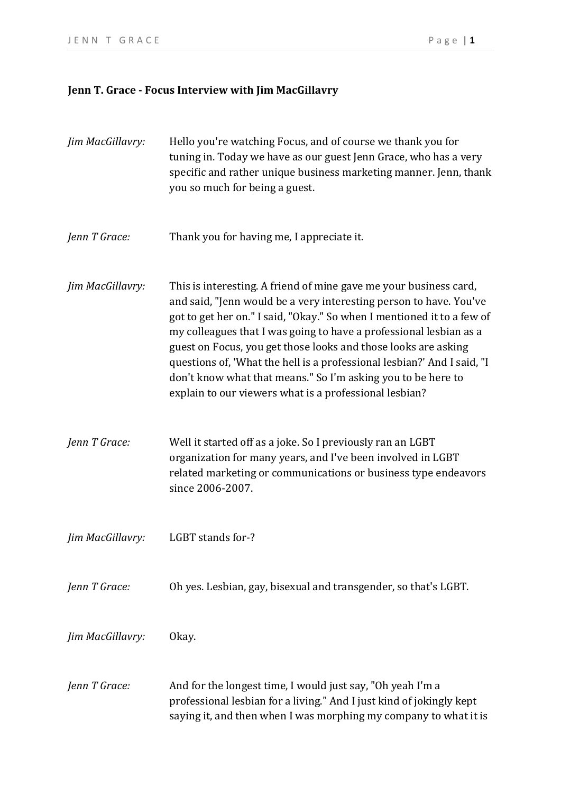## **Jenn T. Grace - Focus Interview with Jim MacGillavry**

| Jim MacGillavry: | Hello you're watching Focus, and of course we thank you for<br>tuning in. Today we have as our guest Jenn Grace, who has a very<br>specific and rather unique business marketing manner. Jenn, thank<br>you so much for being a guest.                                                                                                                                                                                                                                                                                                                         |
|------------------|----------------------------------------------------------------------------------------------------------------------------------------------------------------------------------------------------------------------------------------------------------------------------------------------------------------------------------------------------------------------------------------------------------------------------------------------------------------------------------------------------------------------------------------------------------------|
| Jenn T Grace:    | Thank you for having me, I appreciate it.                                                                                                                                                                                                                                                                                                                                                                                                                                                                                                                      |
| Jim MacGillavry: | This is interesting. A friend of mine gave me your business card,<br>and said, "Jenn would be a very interesting person to have. You've<br>got to get her on." I said, "Okay." So when I mentioned it to a few of<br>my colleagues that I was going to have a professional lesbian as a<br>guest on Focus, you get those looks and those looks are asking<br>questions of, 'What the hell is a professional lesbian?' And I said, "I<br>don't know what that means." So I'm asking you to be here to<br>explain to our viewers what is a professional lesbian? |
| Jenn T Grace:    | Well it started off as a joke. So I previously ran an LGBT<br>organization for many years, and I've been involved in LGBT<br>related marketing or communications or business type endeavors<br>since 2006-2007.                                                                                                                                                                                                                                                                                                                                                |
| Jim MacGillavry: | LGBT stands for-?                                                                                                                                                                                                                                                                                                                                                                                                                                                                                                                                              |
| Jenn T Grace:    | Oh yes. Lesbian, gay, bisexual and transgender, so that's LGBT.                                                                                                                                                                                                                                                                                                                                                                                                                                                                                                |
| Jim MacGillavry: | Okay.                                                                                                                                                                                                                                                                                                                                                                                                                                                                                                                                                          |
| Jenn T Grace:    | And for the longest time, I would just say, "Oh yeah I'm a<br>professional lesbian for a living." And I just kind of jokingly kept<br>saying it, and then when I was morphing my company to what it is                                                                                                                                                                                                                                                                                                                                                         |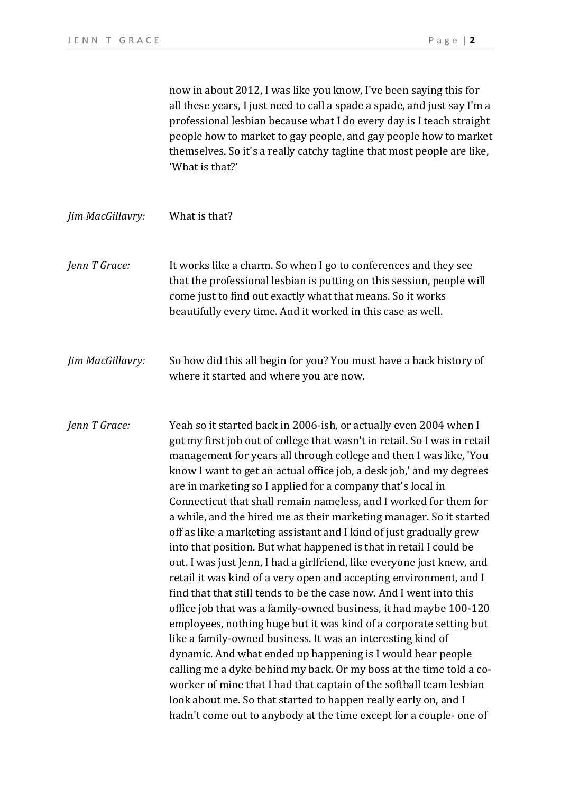now in about 2012, I was like you know, I've been saying this for all these years, I just need to call a spade a spade, and just say I'm a professional lesbian because what I do every day is I teach straight people how to market to gay people, and gay people how to market themselves. So it's a really catchy tagline that most people are like, 'What is that?'

| Jim MacGillavry: | What is that?                                                                                                                                                                                                                                                                                                                                                                                                                                                                                                                                                                                                                                        |
|------------------|------------------------------------------------------------------------------------------------------------------------------------------------------------------------------------------------------------------------------------------------------------------------------------------------------------------------------------------------------------------------------------------------------------------------------------------------------------------------------------------------------------------------------------------------------------------------------------------------------------------------------------------------------|
| Jenn T Grace:    | It works like a charm. So when I go to conferences and they see<br>that the professional lesbian is putting on this session, people will<br>come just to find out exactly what that means. So it works<br>beautifully every time. And it worked in this case as well.                                                                                                                                                                                                                                                                                                                                                                                |
| Jim MacGillavry: | So how did this all begin for you? You must have a back history of<br>where it started and where you are now.                                                                                                                                                                                                                                                                                                                                                                                                                                                                                                                                        |
| Jenn T Grace:    | Yeah so it started back in 2006-ish, or actually even 2004 when I<br>got my first job out of college that wasn't in retail. So I was in retail<br>management for years all through college and then I was like, 'You<br>know I want to get an actual office job, a desk job,' and my degrees<br>are in marketing so I applied for a company that's local in<br>Connecticut that shall remain nameless, and I worked for them for<br>a while, and the hired me as their marketing manager. So it started<br>off as like a marketing assistant and I kind of just gradually grew<br>into that position. But what happened is that in retail I could be |

out. I was just Jenn, I had a girlfriend, like everyone just knew, and retail it was kind of a very open and accepting environment, and I find that that still tends to be the case now. And I went into this office job that was a family-owned business, it had maybe 100-120 employees, nothing huge but it was kind of a corporate setting but like a family-owned business. It was an interesting kind of dynamic. And what ended up happening is I would hear people calling me a dyke behind my back. Or my boss at the time told a coworker of mine that I had that captain of the softball team lesbian look about me. So that started to happen really early on, and I hadn't come out to anybody at the time except for a couple- one of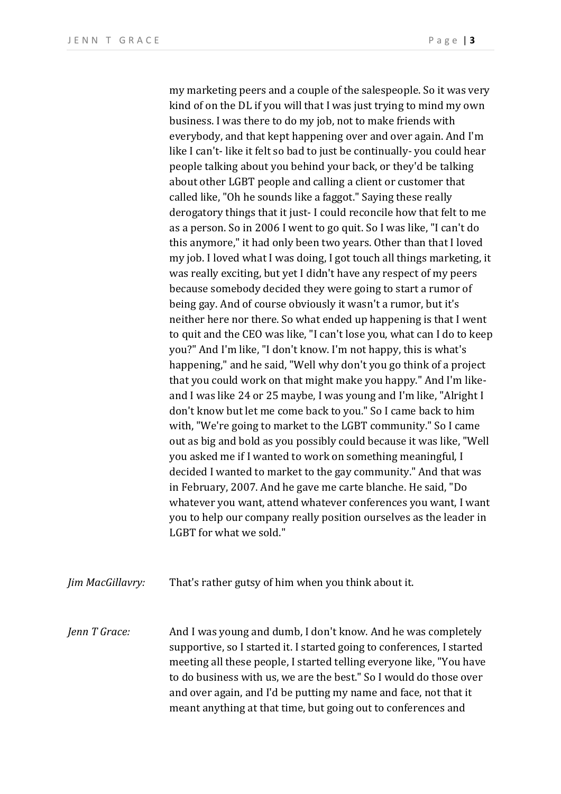my marketing peers and a couple of the salespeople. So it was very kind of on the DL if you will that I was just trying to mind my own business. I was there to do my job, not to make friends with everybody, and that kept happening over and over again. And I'm like I can't- like it felt so bad to just be continually- you could hear people talking about you behind your back, or they'd be talking about other LGBT people and calling a client or customer that called like, "Oh he sounds like a faggot." Saying these really derogatory things that it just- I could reconcile how that felt to me as a person. So in 2006 I went to go quit. So I was like, "I can't do this anymore," it had only been two years. Other than that I loved my job. I loved what I was doing, I got touch all things marketing, it was really exciting, but yet I didn't have any respect of my peers because somebody decided they were going to start a rumor of being gay. And of course obviously it wasn't a rumor, but it's neither here nor there. So what ended up happening is that I went to quit and the CEO was like, "I can't lose you, what can I do to keep you?" And I'm like, "I don't know. I'm not happy, this is what's happening," and he said, "Well why don't you go think of a project that you could work on that might make you happy." And I'm likeand I was like 24 or 25 maybe, I was young and I'm like, "Alright I don't know but let me come back to you." So I came back to him with, "We're going to market to the LGBT community." So I came out as big and bold as you possibly could because it was like, "Well you asked me if I wanted to work on something meaningful, I decided I wanted to market to the gay community." And that was in February, 2007. And he gave me carte blanche. He said, "Do whatever you want, attend whatever conferences you want, I want you to help our company really position ourselves as the leader in LGBT for what we sold."

*Jim MacGillavry:* That's rather gutsy of him when you think about it.

*Jenn T Grace:* And I was young and dumb, I don't know. And he was completely supportive, so I started it. I started going to conferences, I started meeting all these people, I started telling everyone like, "You have to do business with us, we are the best." So I would do those over and over again, and I'd be putting my name and face, not that it meant anything at that time, but going out to conferences and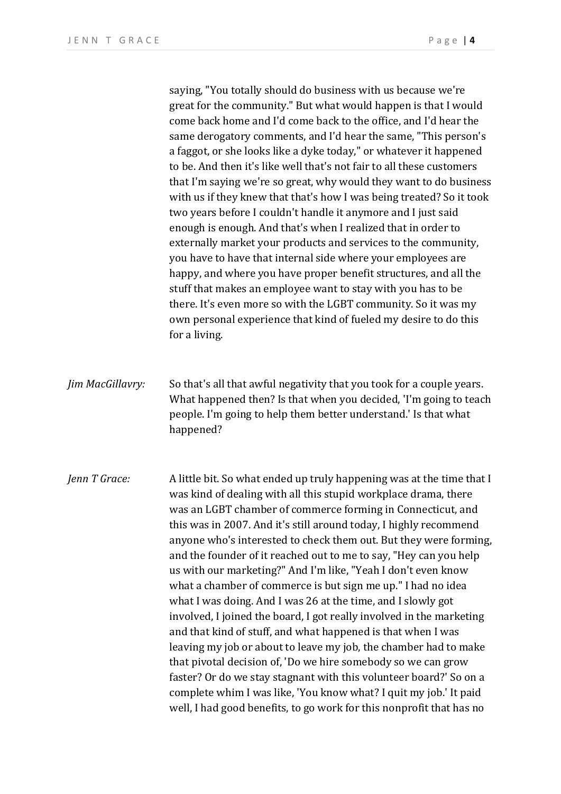saying, "You totally should do business with us because we're great for the community." But what would happen is that I would come back home and I'd come back to the office, and I'd hear the same derogatory comments, and I'd hear the same, "This person's a faggot, or she looks like a dyke today," or whatever it happened to be. And then it's like well that's not fair to all these customers that I'm saying we're so great, why would they want to do business with us if they knew that that's how I was being treated? So it took two years before I couldn't handle it anymore and I just said enough is enough. And that's when I realized that in order to externally market your products and services to the community, you have to have that internal side where your employees are happy, and where you have proper benefit structures, and all the stuff that makes an employee want to stay with you has to be there. It's even more so with the LGBT community. So it was my own personal experience that kind of fueled my desire to do this for a living.

*Jim MacGillavry:* So that's all that awful negativity that you took for a couple years. What happened then? Is that when you decided, 'I'm going to teach people. I'm going to help them better understand.' Is that what happened?

*Jenn T Grace:* A little bit. So what ended up truly happening was at the time that I was kind of dealing with all this stupid workplace drama, there was an LGBT chamber of commerce forming in Connecticut, and this was in 2007. And it's still around today, I highly recommend anyone who's interested to check them out. But they were forming, and the founder of it reached out to me to say, "Hey can you help us with our marketing?" And I'm like, "Yeah I don't even know what a chamber of commerce is but sign me up." I had no idea what I was doing. And I was 26 at the time, and I slowly got involved, I joined the board, I got really involved in the marketing and that kind of stuff, and what happened is that when I was leaving my job or about to leave my job, the chamber had to make that pivotal decision of, 'Do we hire somebody so we can grow faster? Or do we stay stagnant with this volunteer board?' So on a complete whim I was like, 'You know what? I quit my job.' It paid well, I had good benefits, to go work for this nonprofit that has no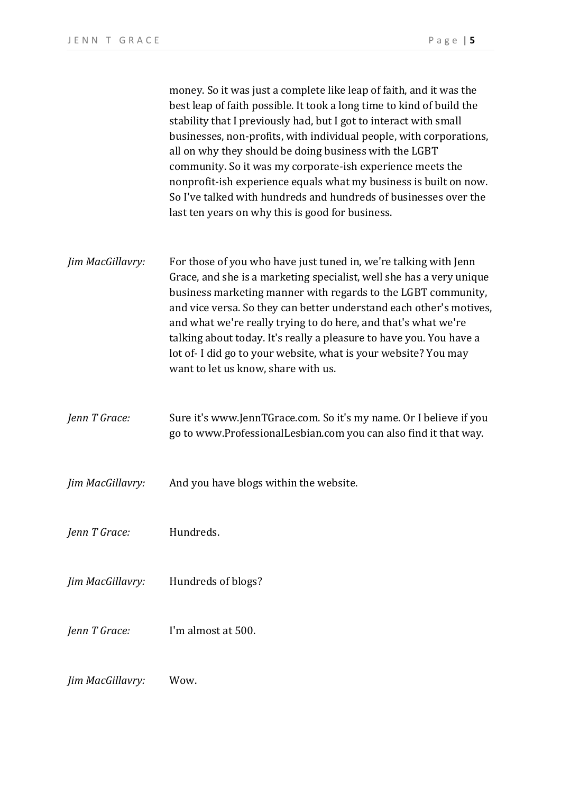money. So it was just a complete like leap of faith, and it was the best leap of faith possible. It took a long time to kind of build the stability that I previously had, but I got to interact with small businesses, non-profits, with individual people, with corporations, all on why they should be doing business with the LGBT community. So it was my corporate-ish experience meets the nonprofit-ish experience equals what my business is built on now. So I've talked with hundreds and hundreds of businesses over the last ten years on why this is good for business.

- *Jim MacGillavry:* For those of you who have just tuned in, we're talking with Jenn Grace, and she is a marketing specialist, well she has a very unique business marketing manner with regards to the LGBT community, and vice versa. So they can better understand each other's motives, and what we're really trying to do here, and that's what we're talking about today. It's really a pleasure to have you. You have a lot of- I did go to your website, what is your website? You may want to let us know, share with us.
- *Jenn T Grace:* Sure it's www.JennTGrace.com. So it's my name. Or I believe if you go to www.ProfessionalLesbian.com you can also find it that way.
- *Jim MacGillavry:* And you have blogs within the website.
- *Jenn T Grace:* Hundreds.
- *Jim MacGillavry:* Hundreds of blogs?
- *Jenn T Grace:* I'm almost at 500.
- *Jim MacGillavry:* Wow.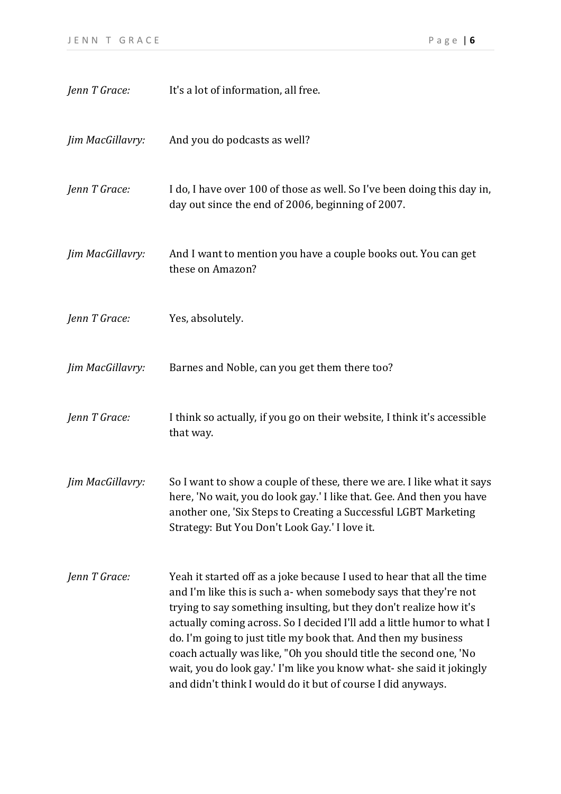| Jenn T Grace:    | It's a lot of information, all free.                                                                                                                                                                                                                                                                                                                                                                                                                                                                                                                                     |
|------------------|--------------------------------------------------------------------------------------------------------------------------------------------------------------------------------------------------------------------------------------------------------------------------------------------------------------------------------------------------------------------------------------------------------------------------------------------------------------------------------------------------------------------------------------------------------------------------|
| Jim MacGillavry: | And you do podcasts as well?                                                                                                                                                                                                                                                                                                                                                                                                                                                                                                                                             |
| Jenn T Grace:    | I do, I have over 100 of those as well. So I've been doing this day in,<br>day out since the end of 2006, beginning of 2007.                                                                                                                                                                                                                                                                                                                                                                                                                                             |
| Jim MacGillavry: | And I want to mention you have a couple books out. You can get<br>these on Amazon?                                                                                                                                                                                                                                                                                                                                                                                                                                                                                       |
| Jenn T Grace:    | Yes, absolutely.                                                                                                                                                                                                                                                                                                                                                                                                                                                                                                                                                         |
| Jim MacGillavry: | Barnes and Noble, can you get them there too?                                                                                                                                                                                                                                                                                                                                                                                                                                                                                                                            |
| Jenn T Grace:    | I think so actually, if you go on their website, I think it's accessible<br>that way.                                                                                                                                                                                                                                                                                                                                                                                                                                                                                    |
| Jim MacGillavry: | So I want to show a couple of these, there we are. I like what it says<br>here, 'No wait, you do look gay.' I like that. Gee. And then you have<br>another one, 'Six Steps to Creating a Successful LGBT Marketing<br>Strategy: But You Don't Look Gay.' I love it.                                                                                                                                                                                                                                                                                                      |
| Jenn T Grace:    | Yeah it started off as a joke because I used to hear that all the time<br>and I'm like this is such a- when somebody says that they're not<br>trying to say something insulting, but they don't realize how it's<br>actually coming across. So I decided I'll add a little humor to what I<br>do. I'm going to just title my book that. And then my business<br>coach actually was like, "Oh you should title the second one, 'No<br>wait, you do look gay.' I'm like you know what- she said it jokingly<br>and didn't think I would do it but of course I did anyways. |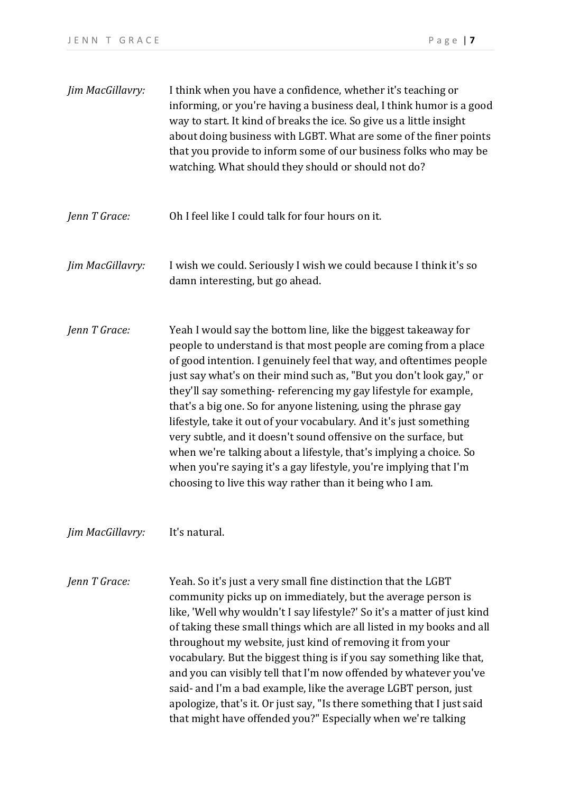| Jim MacGillavry: | I think when you have a confidence, whether it's teaching or<br>informing, or you're having a business deal, I think humor is a good<br>way to start. It kind of breaks the ice. So give us a little insight<br>about doing business with LGBT. What are some of the finer points<br>that you provide to inform some of our business folks who may be<br>watching. What should they should or should not do?                                                                                                                                                                                                                                                                                                                                                            |
|------------------|-------------------------------------------------------------------------------------------------------------------------------------------------------------------------------------------------------------------------------------------------------------------------------------------------------------------------------------------------------------------------------------------------------------------------------------------------------------------------------------------------------------------------------------------------------------------------------------------------------------------------------------------------------------------------------------------------------------------------------------------------------------------------|
| Jenn T Grace:    | Oh I feel like I could talk for four hours on it.                                                                                                                                                                                                                                                                                                                                                                                                                                                                                                                                                                                                                                                                                                                       |
| Jim MacGillavry: | I wish we could. Seriously I wish we could because I think it's so<br>damn interesting, but go ahead.                                                                                                                                                                                                                                                                                                                                                                                                                                                                                                                                                                                                                                                                   |
| Jenn T Grace:    | Yeah I would say the bottom line, like the biggest takeaway for<br>people to understand is that most people are coming from a place<br>of good intention. I genuinely feel that way, and oftentimes people<br>just say what's on their mind such as, "But you don't look gay," or<br>they'll say something-referencing my gay lifestyle for example,<br>that's a big one. So for anyone listening, using the phrase gay<br>lifestyle, take it out of your vocabulary. And it's just something<br>very subtle, and it doesn't sound offensive on the surface, but<br>when we're talking about a lifestyle, that's implying a choice. So<br>when you're saying it's a gay lifestyle, you're implying that I'm<br>choosing to live this way rather than it being who I am. |
| Jim MacGillavry: | It's natural.                                                                                                                                                                                                                                                                                                                                                                                                                                                                                                                                                                                                                                                                                                                                                           |
| Jenn T Grace:    | Yeah. So it's just a very small fine distinction that the LGBT<br>community picks up on immediately, but the average person is<br>like, 'Well why wouldn't I say lifestyle?' So it's a matter of just kind<br>of taking these small things which are all listed in my books and all<br>throughout my website, just kind of removing it from your<br>vocabulary. But the biggest thing is if you say something like that,<br>and you can visibly tell that I'm now offended by whatever you've<br>said- and I'm a bad example, like the average LGBT person, just<br>apologize, that's it. Or just say, "Is there something that I just said<br>that might have offended you?" Especially when we're talking                                                             |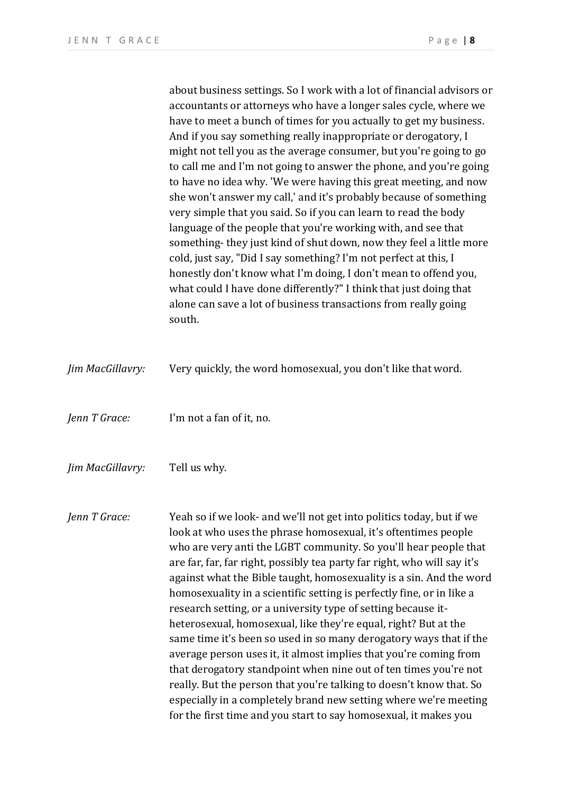about business settings. So I work with a lot of financial advisors or accountants or attorneys who have a longer sales cycle, where we have to meet a bunch of times for you actually to get my business. And if you say something really inappropriate or derogatory, I might not tell you as the average consumer, but you're going to go to call me and I'm not going to answer the phone, and you're going to have no idea why. 'We were having this great meeting, and now she won't answer my call,' and it's probably because of something very simple that you said. So if you can learn to read the body language of the people that you're working with, and see that something- they just kind of shut down, now they feel a little more cold, just say, "Did I say something? I'm not perfect at this, I honestly don't know what I'm doing, I don't mean to offend you, what could I have done differently?" I think that just doing that alone can save a lot of business transactions from really going south.

| Jim MacGillavry: | Very quickly, the word homosexual, you don't like that word.                                                                                                                                                                                                                                                                                                                                                                                                                                                                                                                                                                                                                                                                                                                                                                                                                                                                                                                                             |
|------------------|----------------------------------------------------------------------------------------------------------------------------------------------------------------------------------------------------------------------------------------------------------------------------------------------------------------------------------------------------------------------------------------------------------------------------------------------------------------------------------------------------------------------------------------------------------------------------------------------------------------------------------------------------------------------------------------------------------------------------------------------------------------------------------------------------------------------------------------------------------------------------------------------------------------------------------------------------------------------------------------------------------|
| Jenn T Grace:    | I'm not a fan of it, no.                                                                                                                                                                                                                                                                                                                                                                                                                                                                                                                                                                                                                                                                                                                                                                                                                                                                                                                                                                                 |
| Jim MacGillavry: | Tell us why.                                                                                                                                                                                                                                                                                                                                                                                                                                                                                                                                                                                                                                                                                                                                                                                                                                                                                                                                                                                             |
| Jenn T Grace:    | Yeah so if we look- and we'll not get into politics today, but if we<br>look at who uses the phrase homosexual, it's oftentimes people<br>who are very anti the LGBT community. So you'll hear people that<br>are far, far, far right, possibly tea party far right, who will say it's<br>against what the Bible taught, homosexuality is a sin. And the word<br>homosexuality in a scientific setting is perfectly fine, or in like a<br>research setting, or a university type of setting because it-<br>heterosexual, homosexual, like they're equal, right? But at the<br>same time it's been so used in so many derogatory ways that if the<br>average person uses it, it almost implies that you're coming from<br>that derogatory standpoint when nine out of ten times you're not<br>really. But the person that you're talking to doesn't know that. So<br>especially in a completely brand new setting where we're meeting<br>for the first time and you start to say homosexual, it makes you |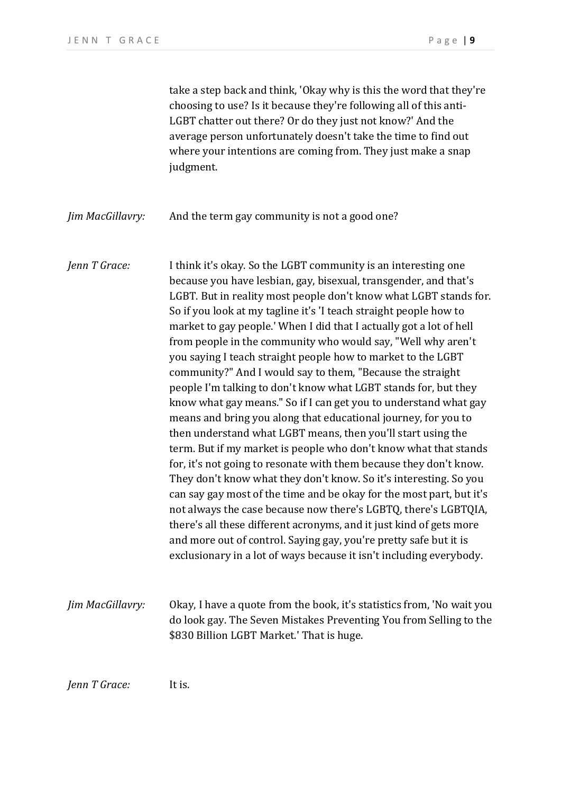take a step back and think, 'Okay why is this the word that they're choosing to use? Is it because they're following all of this anti-LGBT chatter out there? Or do they just not know?' And the average person unfortunately doesn't take the time to find out where your intentions are coming from. They just make a snap judgment.

*Jim MacGillavry:* And the term gay community is not a good one?

*Jenn T Grace:* I think it's okay. So the LGBT community is an interesting one because you have lesbian, gay, bisexual, transgender, and that's LGBT. But in reality most people don't know what LGBT stands for. So if you look at my tagline it's 'I teach straight people how to market to gay people.' When I did that I actually got a lot of hell from people in the community who would say, "Well why aren't you saying I teach straight people how to market to the LGBT community?" And I would say to them, "Because the straight people I'm talking to don't know what LGBT stands for, but they know what gay means." So if I can get you to understand what gay means and bring you along that educational journey, for you to then understand what LGBT means, then you'll start using the term. But if my market is people who don't know what that stands for, it's not going to resonate with them because they don't know. They don't know what they don't know. So it's interesting. So you can say gay most of the time and be okay for the most part, but it's not always the case because now there's LGBTQ, there's LGBTQIA, there's all these different acronyms, and it just kind of gets more and more out of control. Saying gay, you're pretty safe but it is exclusionary in a lot of ways because it isn't including everybody.

*Jim MacGillavry:* Okay, I have a quote from the book, it's statistics from, 'No wait you do look gay. The Seven Mistakes Preventing You from Selling to the \$830 Billion LGBT Market.' That is huge.

*Jenn T Grace:* It is.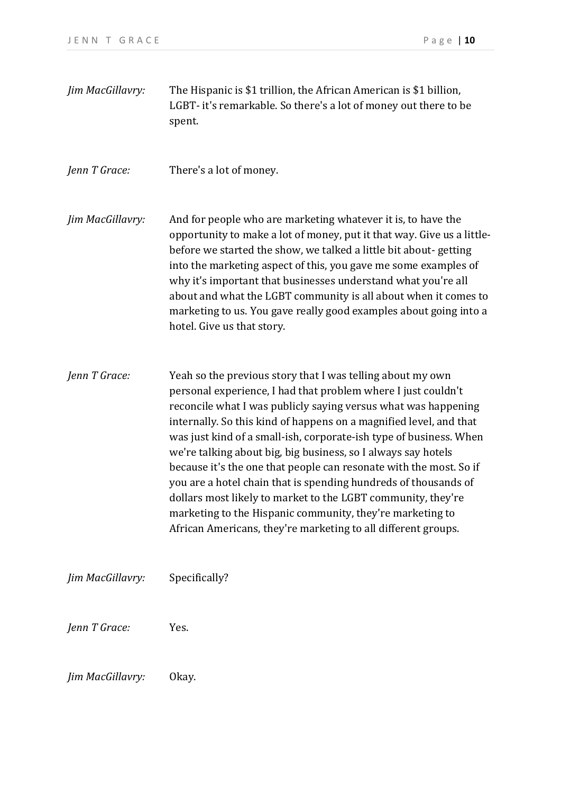| Jim MacGillavry: | The Hispanic is \$1 trillion, the African American is \$1 billion,<br>LGBT- it's remarkable. So there's a lot of money out there to be<br>spent.                                                                                                                                                                                                                                                                                                                                                                                                                                                                                                                                                                                                  |
|------------------|---------------------------------------------------------------------------------------------------------------------------------------------------------------------------------------------------------------------------------------------------------------------------------------------------------------------------------------------------------------------------------------------------------------------------------------------------------------------------------------------------------------------------------------------------------------------------------------------------------------------------------------------------------------------------------------------------------------------------------------------------|
| Jenn T Grace:    | There's a lot of money.                                                                                                                                                                                                                                                                                                                                                                                                                                                                                                                                                                                                                                                                                                                           |
| Jim MacGillavry: | And for people who are marketing whatever it is, to have the<br>opportunity to make a lot of money, put it that way. Give us a little-<br>before we started the show, we talked a little bit about-getting<br>into the marketing aspect of this, you gave me some examples of<br>why it's important that businesses understand what you're all<br>about and what the LGBT community is all about when it comes to<br>marketing to us. You gave really good examples about going into a<br>hotel. Give us that story.                                                                                                                                                                                                                              |
| Jenn T Grace:    | Yeah so the previous story that I was telling about my own<br>personal experience, I had that problem where I just couldn't<br>reconcile what I was publicly saying versus what was happening<br>internally. So this kind of happens on a magnified level, and that<br>was just kind of a small-ish, corporate-ish type of business. When<br>we're talking about big, big business, so I always say hotels<br>because it's the one that people can resonate with the most. So if<br>you are a hotel chain that is spending hundreds of thousands of<br>dollars most likely to market to the LGBT community, they're<br>marketing to the Hispanic community, they're marketing to<br>African Americans, they're marketing to all different groups. |
| Jim MacGillavry: | Specifically?                                                                                                                                                                                                                                                                                                                                                                                                                                                                                                                                                                                                                                                                                                                                     |
| Jenn T Grace:    | Yes.                                                                                                                                                                                                                                                                                                                                                                                                                                                                                                                                                                                                                                                                                                                                              |
| Jim MacGillavry: | Okay.                                                                                                                                                                                                                                                                                                                                                                                                                                                                                                                                                                                                                                                                                                                                             |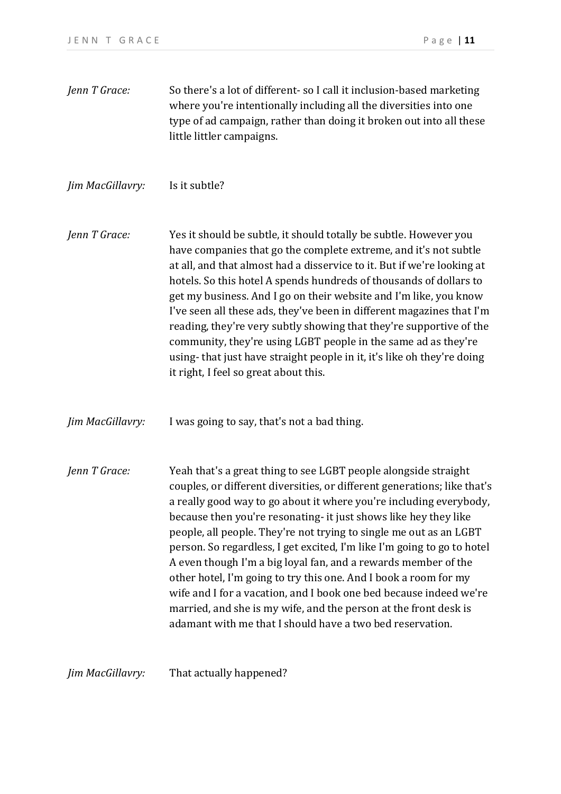*Jenn T Grace:* So there's a lot of different- so I call it inclusion-based marketing where you're intentionally including all the diversities into one type of ad campaign, rather than doing it broken out into all these little littler campaigns.

*Jim MacGillavry:* Is it subtle?

*Jenn T Grace:* Yes it should be subtle, it should totally be subtle. However you have companies that go the complete extreme, and it's not subtle at all, and that almost had a disservice to it. But if we're looking at hotels. So this hotel A spends hundreds of thousands of dollars to get my business. And I go on their website and I'm like, you know I've seen all these ads, they've been in different magazines that I'm reading, they're very subtly showing that they're supportive of the community, they're using LGBT people in the same ad as they're using- that just have straight people in it, it's like oh they're doing it right, I feel so great about this.

*Jim MacGillavry:* I was going to say, that's not a bad thing.

*Jenn T Grace:* Yeah that's a great thing to see LGBT people alongside straight couples, or different diversities, or different generations; like that's a really good way to go about it where you're including everybody, because then you're resonating- it just shows like hey they like people, all people. They're not trying to single me out as an LGBT person. So regardless, I get excited, I'm like I'm going to go to hotel A even though I'm a big loyal fan, and a rewards member of the other hotel, I'm going to try this one. And I book a room for my wife and I for a vacation, and I book one bed because indeed we're married, and she is my wife, and the person at the front desk is adamant with me that I should have a two bed reservation.

*Jim MacGillavry:* That actually happened?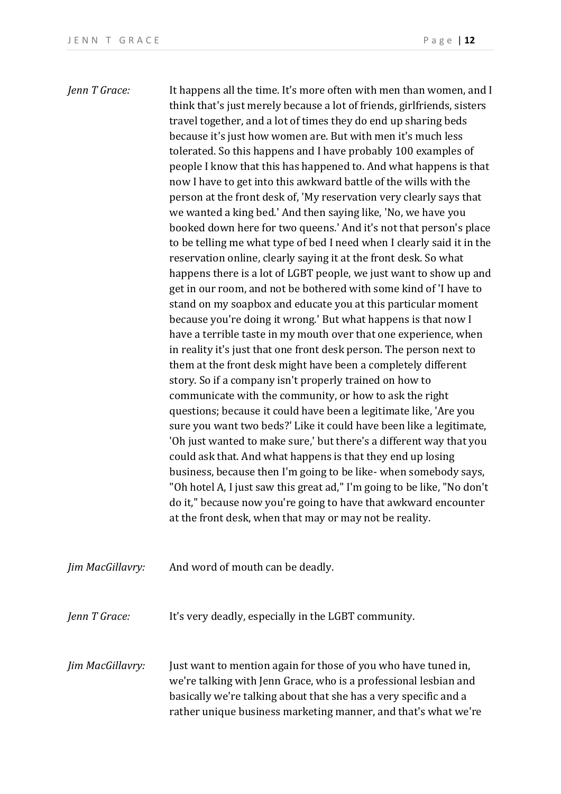*Jenn T Grace:* It happens all the time. It's more often with men than women, and I think that's just merely because a lot of friends, girlfriends, sisters travel together, and a lot of times they do end up sharing beds because it's just how women are. But with men it's much less tolerated. So this happens and I have probably 100 examples of people I know that this has happened to. And what happens is that now I have to get into this awkward battle of the wills with the person at the front desk of, 'My reservation very clearly says that we wanted a king bed.' And then saying like, 'No, we have you booked down here for two queens.' And it's not that person's place to be telling me what type of bed I need when I clearly said it in the reservation online, clearly saying it at the front desk. So what happens there is a lot of LGBT people, we just want to show up and get in our room, and not be bothered with some kind of 'I have to stand on my soapbox and educate you at this particular moment because you're doing it wrong.' But what happens is that now I have a terrible taste in my mouth over that one experience, when in reality it's just that one front desk person. The person next to them at the front desk might have been a completely different story. So if a company isn't properly trained on how to communicate with the community, or how to ask the right questions; because it could have been a legitimate like, 'Are you sure you want two beds?' Like it could have been like a legitimate, 'Oh just wanted to make sure,' but there's a different way that you could ask that. And what happens is that they end up losing business, because then I'm going to be like- when somebody says, "Oh hotel A, I just saw this great ad," I'm going to be like, "No don't do it," because now you're going to have that awkward encounter at the front desk, when that may or may not be reality. *Jim MacGillavry:* And word of mouth can be deadly. *Jenn T Grace:* It's very deadly, especially in the LGBT community. *Jim MacGillavry:* Just want to mention again for those of you who have tuned in,

we're talking with Jenn Grace, who is a professional lesbian and basically we're talking about that she has a very specific and a rather unique business marketing manner, and that's what we're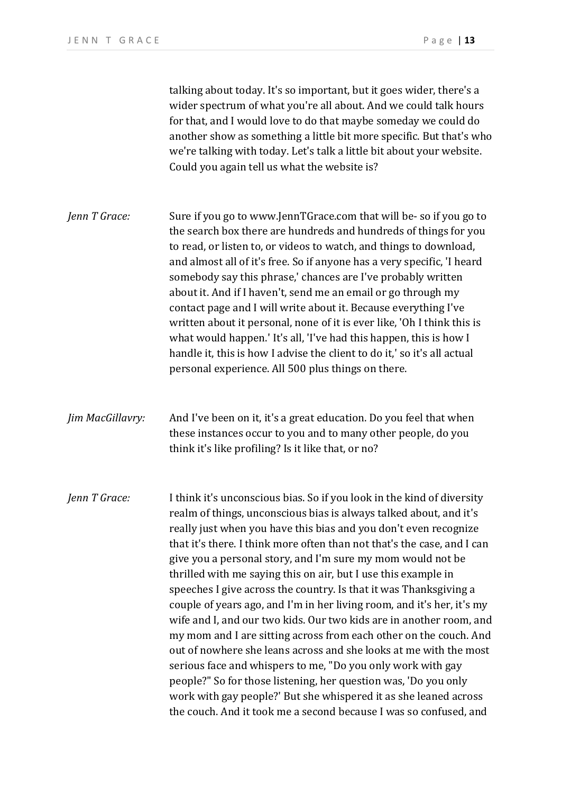talking about today. It's so important, but it goes wider, there's a wider spectrum of what you're all about. And we could talk hours for that, and I would love to do that maybe someday we could do another show as something a little bit more specific. But that's who we're talking with today. Let's talk a little bit about your website. Could you again tell us what the website is?

*Jenn T Grace:* Sure if you go to www.JennTGrace.com that will be- so if you go to the search box there are hundreds and hundreds of things for you to read, or listen to, or videos to watch, and things to download, and almost all of it's free. So if anyone has a very specific, 'I heard somebody say this phrase,' chances are I've probably written about it. And if I haven't, send me an email or go through my contact page and I will write about it. Because everything I've written about it personal, none of it is ever like, 'Oh I think this is what would happen.' It's all, 'I've had this happen, this is how I handle it, this is how I advise the client to do it,' so it's all actual personal experience. All 500 plus things on there.

*Jim MacGillavry:* And I've been on it, it's a great education. Do you feel that when these instances occur to you and to many other people, do you think it's like profiling? Is it like that, or no?

*Jenn T Grace:* I think it's unconscious bias. So if you look in the kind of diversity realm of things, unconscious bias is always talked about, and it's really just when you have this bias and you don't even recognize that it's there. I think more often than not that's the case, and I can give you a personal story, and I'm sure my mom would not be thrilled with me saying this on air, but I use this example in speeches I give across the country. Is that it was Thanksgiving a couple of years ago, and I'm in her living room, and it's her, it's my wife and I, and our two kids. Our two kids are in another room, and my mom and I are sitting across from each other on the couch. And out of nowhere she leans across and she looks at me with the most serious face and whispers to me, "Do you only work with gay people?" So for those listening, her question was, 'Do you only work with gay people?' But she whispered it as she leaned across the couch. And it took me a second because I was so confused, and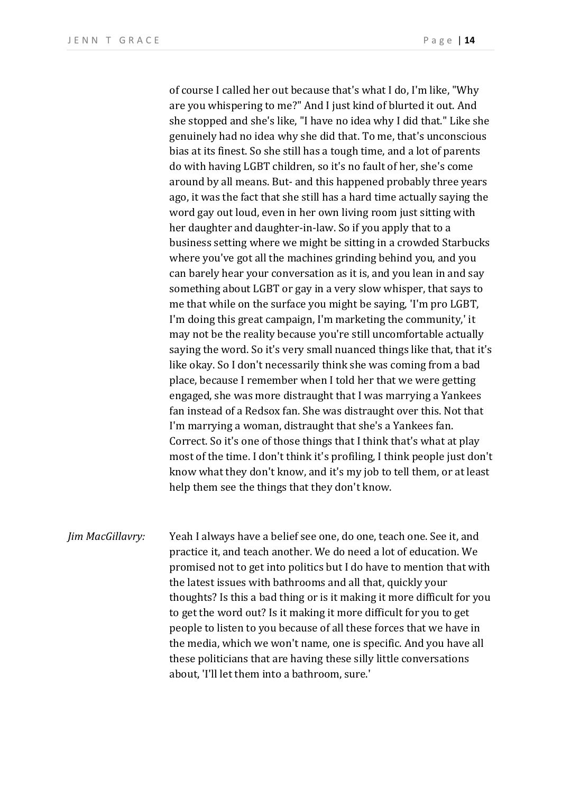of course I called her out because that's what I do, I'm like, "Why are you whispering to me?" And I just kind of blurted it out. And she stopped and she's like, "I have no idea why I did that." Like she genuinely had no idea why she did that. To me, that's unconscious bias at its finest. So she still has a tough time, and a lot of parents do with having LGBT children, so it's no fault of her, she's come around by all means. But- and this happened probably three years ago, it was the fact that she still has a hard time actually saying the word gay out loud, even in her own living room just sitting with her daughter and daughter-in-law. So if you apply that to a business setting where we might be sitting in a crowded Starbucks where you've got all the machines grinding behind you, and you can barely hear your conversation as it is, and you lean in and say something about LGBT or gay in a very slow whisper, that says to me that while on the surface you might be saying, 'I'm pro LGBT, I'm doing this great campaign, I'm marketing the community,' it may not be the reality because you're still uncomfortable actually saying the word. So it's very small nuanced things like that, that it's like okay. So I don't necessarily think she was coming from a bad place, because I remember when I told her that we were getting engaged, she was more distraught that I was marrying a Yankees fan instead of a Redsox fan. She was distraught over this. Not that I'm marrying a woman, distraught that she's a Yankees fan. Correct. So it's one of those things that I think that's what at play most of the time. I don't think it's profiling, I think people just don't know what they don't know, and it's my job to tell them, or at least help them see the things that they don't know.

*Jim MacGillavry:* Yeah I always have a belief see one, do one, teach one. See it, and practice it, and teach another. We do need a lot of education. We promised not to get into politics but I do have to mention that with the latest issues with bathrooms and all that, quickly your thoughts? Is this a bad thing or is it making it more difficult for you to get the word out? Is it making it more difficult for you to get people to listen to you because of all these forces that we have in the media, which we won't name, one is specific. And you have all these politicians that are having these silly little conversations about, 'I'll let them into a bathroom, sure.'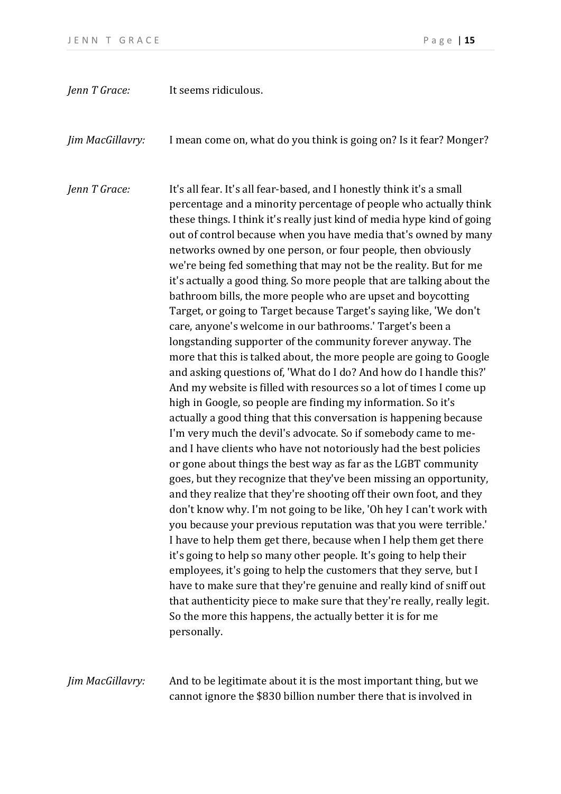| Jenn T Grace:    | It seems ridiculous.                                                                                                                                                                                                                                                                                                                                                                                                                                                                                                                                                                                                                                                                                                                                                                                                                                                                                                                                                                                                                                                                                                                                                                                                                                                                                                                                                                                                                                                                                                                                                                                                                                                                                                                                                                                                                                                                                                                                                                                                                                                                |
|------------------|-------------------------------------------------------------------------------------------------------------------------------------------------------------------------------------------------------------------------------------------------------------------------------------------------------------------------------------------------------------------------------------------------------------------------------------------------------------------------------------------------------------------------------------------------------------------------------------------------------------------------------------------------------------------------------------------------------------------------------------------------------------------------------------------------------------------------------------------------------------------------------------------------------------------------------------------------------------------------------------------------------------------------------------------------------------------------------------------------------------------------------------------------------------------------------------------------------------------------------------------------------------------------------------------------------------------------------------------------------------------------------------------------------------------------------------------------------------------------------------------------------------------------------------------------------------------------------------------------------------------------------------------------------------------------------------------------------------------------------------------------------------------------------------------------------------------------------------------------------------------------------------------------------------------------------------------------------------------------------------------------------------------------------------------------------------------------------------|
| Jim MacGillavry: | I mean come on, what do you think is going on? Is it fear? Monger?                                                                                                                                                                                                                                                                                                                                                                                                                                                                                                                                                                                                                                                                                                                                                                                                                                                                                                                                                                                                                                                                                                                                                                                                                                                                                                                                                                                                                                                                                                                                                                                                                                                                                                                                                                                                                                                                                                                                                                                                                  |
| Jenn T Grace:    | It's all fear. It's all fear-based, and I honestly think it's a small<br>percentage and a minority percentage of people who actually think<br>these things. I think it's really just kind of media hype kind of going<br>out of control because when you have media that's owned by many<br>networks owned by one person, or four people, then obviously<br>we're being fed something that may not be the reality. But for me<br>it's actually a good thing. So more people that are talking about the<br>bathroom bills, the more people who are upset and boycotting<br>Target, or going to Target because Target's saying like, 'We don't<br>care, anyone's welcome in our bathrooms.' Target's been a<br>longstanding supporter of the community forever anyway. The<br>more that this is talked about, the more people are going to Google<br>and asking questions of, 'What do I do? And how do I handle this?'<br>And my website is filled with resources so a lot of times I come up<br>high in Google, so people are finding my information. So it's<br>actually a good thing that this conversation is happening because<br>I'm very much the devil's advocate. So if somebody came to me-<br>and I have clients who have not notoriously had the best policies<br>or gone about things the best way as far as the LGBT community<br>goes, but they recognize that they've been missing an opportunity,<br>and they realize that they're shooting off their own foot, and they<br>don't know why. I'm not going to be like, 'Oh hey I can't work with<br>you because your previous reputation was that you were terrible.'<br>I have to help them get there, because when I help them get there<br>it's going to help so many other people. It's going to help their<br>employees, it's going to help the customers that they serve, but I<br>have to make sure that they're genuine and really kind of sniff out<br>that authenticity piece to make sure that they're really, really legit.<br>So the more this happens, the actually better it is for me<br>personally. |

*Jim MacGillavry:* And to be legitimate about it is the most important thing, but we cannot ignore the \$830 billion number there that is involved in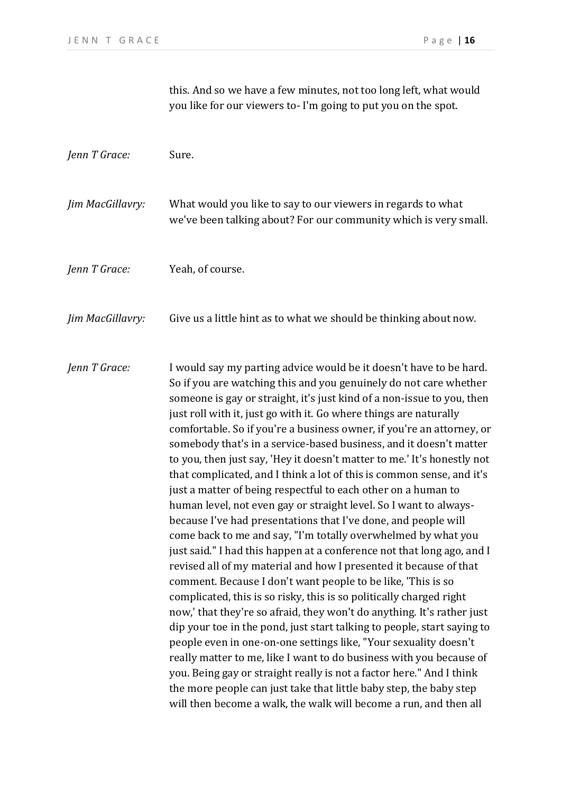this. And so we have a few minutes, not too long left, what would you like for our viewers to- I'm going to put you on the spot.

| Jenn T Grace:    | Sure.                                                                                                                                                                                                                                                                                                                                                                                                                                                                                                                                                                                                                                                                                                                                                                                                                                                                                                                                                                                                                                                                                                                                                                                                                                                                                                                                                                                                                                                                                                                                                                                                                                                                       |
|------------------|-----------------------------------------------------------------------------------------------------------------------------------------------------------------------------------------------------------------------------------------------------------------------------------------------------------------------------------------------------------------------------------------------------------------------------------------------------------------------------------------------------------------------------------------------------------------------------------------------------------------------------------------------------------------------------------------------------------------------------------------------------------------------------------------------------------------------------------------------------------------------------------------------------------------------------------------------------------------------------------------------------------------------------------------------------------------------------------------------------------------------------------------------------------------------------------------------------------------------------------------------------------------------------------------------------------------------------------------------------------------------------------------------------------------------------------------------------------------------------------------------------------------------------------------------------------------------------------------------------------------------------------------------------------------------------|
| Jim MacGillavry: | What would you like to say to our viewers in regards to what<br>we've been talking about? For our community which is very small.                                                                                                                                                                                                                                                                                                                                                                                                                                                                                                                                                                                                                                                                                                                                                                                                                                                                                                                                                                                                                                                                                                                                                                                                                                                                                                                                                                                                                                                                                                                                            |
| Jenn T Grace:    | Yeah, of course.                                                                                                                                                                                                                                                                                                                                                                                                                                                                                                                                                                                                                                                                                                                                                                                                                                                                                                                                                                                                                                                                                                                                                                                                                                                                                                                                                                                                                                                                                                                                                                                                                                                            |
| Jim MacGillavry: | Give us a little hint as to what we should be thinking about now.                                                                                                                                                                                                                                                                                                                                                                                                                                                                                                                                                                                                                                                                                                                                                                                                                                                                                                                                                                                                                                                                                                                                                                                                                                                                                                                                                                                                                                                                                                                                                                                                           |
| Jenn T Grace:    | I would say my parting advice would be it doesn't have to be hard.<br>So if you are watching this and you genuinely do not care whether<br>someone is gay or straight, it's just kind of a non-issue to you, then<br>just roll with it, just go with it. Go where things are naturally<br>comfortable. So if you're a business owner, if you're an attorney, or<br>somebody that's in a service-based business, and it doesn't matter<br>to you, then just say, 'Hey it doesn't matter to me.' It's honestly not<br>that complicated, and I think a lot of this is common sense, and it's<br>just a matter of being respectful to each other on a human to<br>human level, not even gay or straight level. So I want to always-<br>because I've had presentations that I've done, and people will<br>come back to me and say, "I'm totally overwhelmed by what you<br>just said." I had this happen at a conference not that long ago, and I<br>revised all of my material and how I presented it because of that<br>comment. Because I don't want people to be like, 'This is so<br>complicated, this is so risky, this is so politically charged right<br>now,' that they're so afraid, they won't do anything. It's rather just<br>dip your toe in the pond, just start talking to people, start saying to<br>people even in one-on-one settings like, "Your sexuality doesn't<br>really matter to me, like I want to do business with you because of<br>you. Being gay or straight really is not a factor here." And I think<br>the more people can just take that little baby step, the baby step<br>will then become a walk, the walk will become a run, and then all |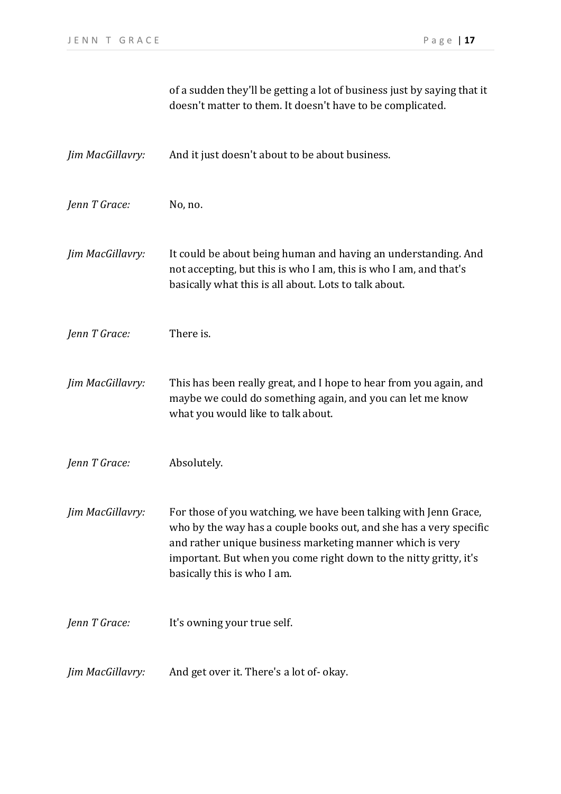|                  | of a sudden they'll be getting a lot of business just by saying that it<br>doesn't matter to them. It doesn't have to be complicated.                                                                                                                                                                   |
|------------------|---------------------------------------------------------------------------------------------------------------------------------------------------------------------------------------------------------------------------------------------------------------------------------------------------------|
| Jim MacGillavry: | And it just doesn't about to be about business.                                                                                                                                                                                                                                                         |
| Jenn T Grace:    | No, no.                                                                                                                                                                                                                                                                                                 |
| Jim MacGillavry: | It could be about being human and having an understanding. And<br>not accepting, but this is who I am, this is who I am, and that's<br>basically what this is all about. Lots to talk about.                                                                                                            |
| Jenn T Grace:    | There is.                                                                                                                                                                                                                                                                                               |
| Jim MacGillavry: | This has been really great, and I hope to hear from you again, and<br>maybe we could do something again, and you can let me know<br>what you would like to talk about.                                                                                                                                  |
| Jenn T Grace:    | Absolutely.                                                                                                                                                                                                                                                                                             |
| Jim MacGillavry: | For those of you watching, we have been talking with Jenn Grace,<br>who by the way has a couple books out, and she has a very specific<br>and rather unique business marketing manner which is very<br>important. But when you come right down to the nitty gritty, it's<br>basically this is who I am. |
| Jenn T Grace:    | It's owning your true self.                                                                                                                                                                                                                                                                             |
| Jim MacGillavry: | And get over it. There's a lot of-okay.                                                                                                                                                                                                                                                                 |